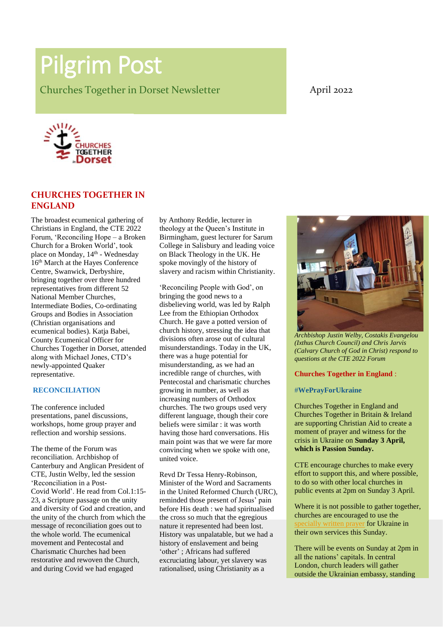# Pilgrim Post

Churches Together in Dorset Newsletter **April 2022** 



# **CHURCHES TOGETHER IN ENGLAND**

The broadest ecumenical gathering of Christians in England, the CTE 2022 Forum, 'Reconciling Hope – a Broken Church for a Broken World', took place on Monday, 14<sup>th</sup> - Wednesday 16<sup>th</sup> March at the Hayes Conference Centre, Swanwick, Derbyshire, bringing together over three hundred representatives from different 52 National Member Churches, Intermediate Bodies, Co-ordinating Groups and Bodies in Association (Christian organisations and ecumenical bodies). Katja Babei, County Ecumenical Officer for Churches Together in Dorset, attended along with Michael Jones, CTD's newly-appointed Quaker representative.

#### **RECONCILIATION**

The conference included presentations, panel discussions, workshops, home group prayer and reflection and worship sessions.

The theme of the Forum was reconciliation. Archbishop of Canterbury and Anglican President of CTE, Justin Welby, led the session 'Reconciliation in a Post-Covid World'. He read from Col.1:15- 23, a Scripture passage on the unity and diversity of God and creation, and the unity of the church from which the message of reconciliation goes out to the whole world. The ecumenical movement and Pentecostal and Charismatic Churches had been restorative and rewoven the Church, and during Covid we had engaged

by Anthony Reddie, lecturer in theology at the Queen's Institute in Birmingham, guest lecturer for Sarum College in Salisbury and leading voice on Black Theology in the UK. He spoke movingly of the history of slavery and racism within Christianity.

'Reconciling People with God', on bringing the good news to a disbelieving world, was led by Ralph Lee from the Ethiopian Orthodox Church. He gave a potted version of church history, stressing the idea that divisions often arose out of cultural misunderstandings. Today in the UK, there was a huge potential for misunderstanding, as we had an incredible range of churches, with Pentecostal and charismatic churches growing in number, as well as increasing numbers of Orthodox churches. The two groups used very different language, though their core beliefs were similar : it was worth having those hard conversations. His main point was that we were far more convincing when we spoke with one, united voice.

Revd Dr Tessa Henry-Robinson, Minister of the Word and Sacraments in the United Reformed Church (URC), reminded those present of Jesus' pain before His death : we had spiritualised the cross so much that the egregious nature it represented had been lost. History was unpalatable, but we had a history of enslavement and being 'other' ; Africans had suffered excruciating labour, yet slavery was rationalised, using Christianity as a



*Archbishop Justin Welby, Costakis Evangelou (Ixthus Church Council) and Chris Jarvis (Calvary Church of God in Christ) respond to questions at the CTE 2022 Forum*

#### **Churches Together in England** :

#### #**WePrayForUkraine**

Churches Together in England and Churches Together in Britain & Ireland are supporting Christian Aid to create a moment of prayer and witness for the crisis in Ukraine on **Sunday 3 April, which is Passion Sunday.**

CTE encourage churches to make every effort to support this, and where possible, to do so with other local churches in public events at 2pm on Sunday 3 April.

Where it is not possible to gather together, churches are encouraged to use the cially written prayer for Ukraine in their own services this Sunday.

There will be events on Sunday at 2pm in all the nations' capitals. In central London, church leaders will gather outside the Ukrainian embassy, standing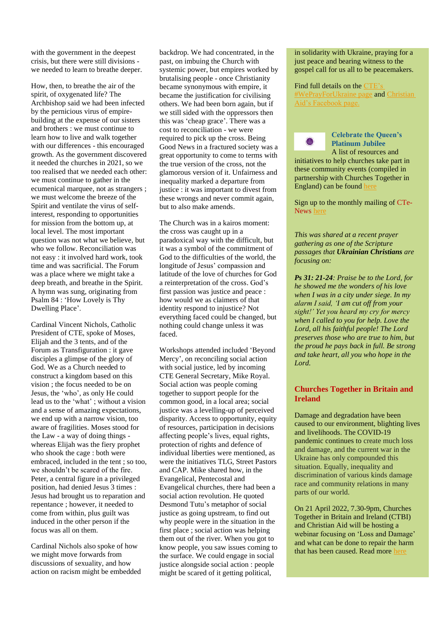with the government in the deepest crisis, but there were still divisions we needed to learn to breathe deeper.

How, then, to breathe the air of the spirit, of oxygenated life? The Archbishop said we had been infected by the pernicious virus of empirebuilding at the expense of our sisters and brothers : we must continue to learn how to live and walk together with our differences - this encouraged growth. As the government discovered it needed the churches in 2021, so we too realised that we needed each other: we must continue to gather in the ecumenical marquee, not as strangers ; we must welcome the breeze of the Spirit and ventilate the virus of selfinterest, responding to opportunities for mission from the bottom up, at local level. The most important question was not what we believe, but who we follow. Reconciliation was not easy : it involved hard work, took time and was sacrificial. The Forum was a place where we might take a deep breath, and breathe in the Spirit. A hymn was sung, originating from Psalm 84 : 'How Lovely is Thy Dwelling Place'.

Cardinal Vincent Nichols, Catholic President of CTE, spoke of Moses, Elijah and the 3 tents, and of the Forum as Transfiguration : it gave disciples a glimpse of the glory of God. We as a Church needed to construct a kingdom based on this vision ; the focus needed to be on Jesus, the 'who', as only He could lead us to the 'what' ; without a vision and a sense of amazing expectations, we end up with a narrow vision, too aware of fragilities. Moses stood for the Law - a way of doing things whereas Elijah was the fiery prophet who shook the cage : both were embraced, included in the tent ; so too, we shouldn't be scared of the fire. Peter, a central figure in a privileged position, had denied Jesus 3 times : Jesus had brought us to reparation and repentance ; however, it needed to come from within, plus guilt was induced in the other person if the focus was all on them.

Cardinal Nichols also spoke of how we might move forwards from discussions of sexuality, and how action on racism might be embedded backdrop. We had concentrated, in the past, on imbuing the Church with systemic power, but empires worked by brutalising people - once Christianity became synonymous with empire, it became the justification for civilising others. We had been born again, but if we still sided with the oppressors then this was 'cheap grace'. There was a cost to reconciliation - we were required to pick up the cross. Being Good News in a fractured society was a great opportunity to come to terms with the true version of the cross, not the glamorous version of it. Unfairness and inequality marked a departure from justice : it was important to divest from these wrongs and never commit again, but to also make amends.

The Church was in a kairos moment: the cross was caught up in a paradoxical way with the difficult, but it was a symbol of the commitment of God to the difficulties of the world, the longitude of Jesus' compassion and latitude of the love of churches for God a reinterpretation of the cross. God's first passion was justice and peace : how would we as claimers of that identity respond to injustice? Not everything faced could be changed, but nothing could change unless it was faced.

Workshops attended included 'Beyond Mercy', on reconciling social action with social justice, led by incoming CTE General Secretary, Mike Royal. Social action was people coming together to support people for the common good, in a local area; social justice was a levelling-up of perceived disparity. Access to opportunity, equity of resources, participation in decisions affecting people's lives, equal rights, protection of rights and defence of individual liberties were mentioned, as were the initiatives TLG, Street Pastors and CAP. Mike shared how, in the Evangelical, Pentecostal and Evangelical churches, there had been a social action revolution. He quoted Desmond Tutu's metaphor of social justice as going upstream, to find out why people were in the situation in the first place ; social action was helping them out of the river. When you got to know people, you saw issues coming to the surface. We could engage in social justice alongside social action : people might be scared of it getting political,

#### in solidarity with Ukraine, praying for a just peace and bearing witness to the gospel call for us all to be peacemakers.

#### Find full details on the CTE<sup>'</sup> ayForUkraine page and Christian [Aid's Facebook page.](https://www.facebook.com/christianaid/)



#### **Celebrate the Queen's Platinum Jubilee** A list of resources and

initiatives to help churches take part in these community events (compiled in partnership with Churches Together in England) can be found [here](https://ctbi.us9.list-manage.com/track/click?u=343312f3ea3e4535c7abeff6e&id=6b7e384936&e=6880ef143c)

Sign up to the monthly mailing of CTe-News [here](https://www.cte.org.uk/?Groups/234746/Home/News/CTe_News.aspx)

*This was shared at a recent prayer gathering as one of the Scripture passages that Ukrainian Christians are focusing on:* 

*Ps 31: 21-24: Praise be to the Lord, for he showed me the wonders of his love when I was in a city under siege. In my alarm I said, 'I am cut off from your sight!' Yet you heard my cry for mercy when I called to you for help. Love the Lord, all his faithful people! The Lord preserves those who are true to him, but the proud he pays back in full. Be strong and take heart, all you who hope in the Lord.*

# **Churches Together in Britain and Ireland**

Damage and degradation have been caused to our environment, blighting lives and livelihoods. The COVID-19 pandemic continues to create much loss and damage, and the current war in the Ukraine has only compounded this situation. Equally, inequality and discrimination of various kinds damage race and community relations in many parts of our world.

On 21 April 2022, 7.30-9pm, Churches Together in Britain and Ireland (CTBI) and Christian Aid will be hosting a webinar focusing on 'Loss and Damage' and what can be done to repair the harm that has been caused. Read mor[e here](https://ctbi.org.uk/webinar-loss-and-damage/)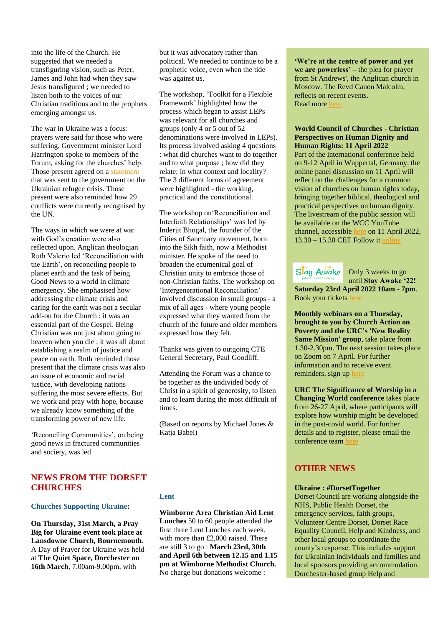into the life of the Church. He suggested that we needed a transfiguring vision, such as Peter, James and John had when they saw Jesus transfigured ; we needed to listen both to the voices of our Christian traditions and to the prophets emerging amongst us.

The war in Ukraine was a focus: prayers were said for those who were suffering. Government minister Lord Harrington spoke to members of the Forum, asking for the churches' help. Those present agreed on a **statement** that was sent to the government on the Ukrainian refugee crisis. Those present were also reminded how 29 conflicts were currently recognised by the UN.

The ways in which we were at war with God's creation were also reflected upon. Anglican theologian Ruth Valerio led 'Reconciliation with the Earth', on reconciling people to planet earth and the task of being Good News to a world in climate emergency. She emphasised how addressing the climate crisis and caring for the earth was not a secular add-on for the Church : it was an essential part of the Gospel. Being Christian was not just about going to heaven when you die ; it was all about establishing a realm of justice and peace on earth. Ruth reminded those present that the climate crisis was also an issue of economic and racial justice, with developing nations suffering the most severe effects. But we work and pray with hope, because we already know something of the transforming power of new life.

'Reconciling Communities', on being good news in fractured communities and society, was led

# **NEWS FROM THE DORSET CHURCHES**

#### **Churches Supporting Ukraine:**

**On Thursday, 31st March, a Pray Big for Ukraine event took place at Lansdowne Church, Bournemouth**. A Day of Prayer for Ukraine was held at **The Quiet Space, Dorchester on 16th March**, 7.00am-9.00pm, with

but it was advocatory rather than political. We needed to continue to be a prophetic voice, even when the tide was against us.

The workshop, 'Toolkit for a Flexible Framework' highlighted how the process which began to assist LEPs was relevant for all churches and groups (only 4 or 5 out of 52 denominations were involved in LEPs). Its process involved asking 4 questions : what did churches want to do together and to what purpose ; how did they relate; in what context and locality? The 3 different forms of agreement were highlighted - the working, practical and the constitutional.

The workshop on'Reconciliation and Interfaith Relationships' was led by Inderjit Bhogal, the founder of the Cities of Sanctuary movement, born into the Sikh faith, now a Methodist minister. He spoke of the need to broaden the ecumenical goal of Christian unity to embrace those of non-Christian faiths. The workshop on 'Intergenerational Reconciliation' involved discussion in small groups - a mix of all ages - where young people expressed what they wanted from the church of the future and older members expressed how they felt.

Thanks was given to outgoing CTE General Secretary, Paul Goodliff.

Attending the Forum was a chance to be together as the undivided body of Christ in a spirit of generosity, to listen and to learn during the most difficult of times.

(Based on reports by Michael Jones & Katja Babei)

#### **Lent**

**Wimborne Area Christian Aid Lent Lunches** 50 to 60 people attended the first three Lent Lunches each week, with more than £2,000 raised. There are still 3 to go : **March 23rd, 30th and April 6th between 12.15 and 1.15 pm at Wimborne Methodist Church.** No charge but donations welcome :

**'We're at the centre of power and yet we are powerless' –** the plea for prayer from St Andrews', the Anglican church in Moscow. The Revd Canon Malcolm, reflects on recent events. Read mor[e here](https://ctdevon.us17.list-manage.com/track/click?u=02c75d3642ce60f0a39589776&id=f7da9c8cf6&e=cd728da752)

#### **World Council of Churches - Christian Perspectives on Human Dignity and Human Rights: 11 April 2022**

Part of the international conference held on 9-12 April in Wuppertal, Germany, the online panel discussion on 11 April will reflect on the challenges for a common vision of churches on human rights today, bringing together biblical, theological and practical perspectives on human dignity. The livestream of the public session will be available on the WCC YouTube channel, accessible [here](https://www.oikoumene.org/live.) on 11 April 2022, 13.30 – 15.30 CET Follow it [online](http://www.oikoumene.org/live)



Only 3 weeks to go until **Stay Awake '22!**

**Saturday 23rd April 2022 10am - 7pm**. Book your ticket[s here](http://www.stayawakejc.com/)

**Monthly webinars on a Thursday, brought to you by Church Action on Poverty and the URC's 'New Reality Same Mission' group**, take place from 1.30-2.30pm. The next session takes place on Zoom on 7 April. For further information and to receive event reminders, sign up her

**URC The Significance of Worship in a Changing World conference** takes place from 26-27 April, where participants will explore how worship might be developed in the post-covid world. For further details and to register, please email the conference team [here](mailto:john@spiritualseekers.co.uk)

# **OTHER NEWS**

#### **Ukraine : #DorsetTogether**

Dorset Council are working alongside the NHS, Public Health Dorset, the emergency services, faith groups, Volunteer Centre Dorset, Dorset Race Equality Council, Help and Kindness, and other local groups to coordinate the county's response. This includes support for Ukrainian individuals and families and local sponsors providing accommodation. Dorchester-based group Help and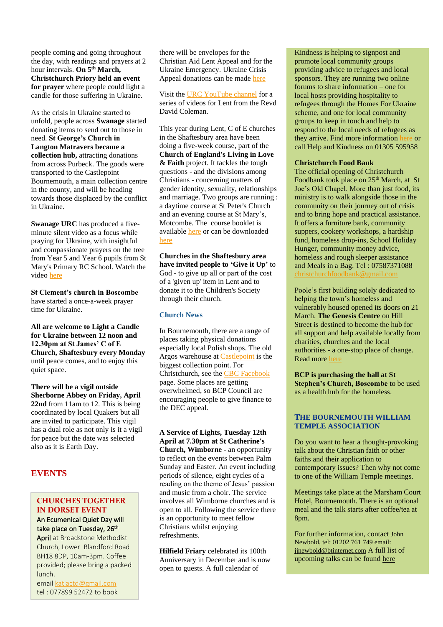people coming and going throughout the day, with readings and prayers at 2 hour intervals. **On 5th March, Christchurch Priory held an event for prayer** where people could light a candle for those suffering in Ukraine.

As the crisis in Ukraine started to unfold, people across **Swanage** started donating items to send out to those in need. **St George's Church in Langton Matravers became a collection hub,** attracting donations from across Purbeck. The goods were transported to the Castlepoint Bournemouth, a main collection centre in the county, and will be heading towards those displaced by the conflict in Ukraine.

**Swanage URC** has produced a fiveminute silent video as a focus while praying for Ukraine, with insightful and compassionate prayers on the tree from Year 5 and Year 6 pupils from St Mary's Primary RC School. Watch the vide[o here](https://urc-news.org.uk/2JB1-1UMDQ-AEA1G7-185Z2B-1/c.aspx)

**St Clement's church in Boscombe** have started a once-a-week prayer time for Ukraine.

**All are welcome to Light a Candle for Ukraine between 12 noon and 12.30pm at St James' C of E Church, Shaftesbury every Monday** until peace comes, and to enjoy this quiet space.

**There will be a vigil outside Sherborne Abbey on Friday, April 22nd** from 11am to 12. This is being coordinated by local Quakers but all are invited to participate. This vigil has a dual role as not only is it a vigil for peace but the date was selected also as it is Earth Day.

# **EVENTS**

place.

# **CHURCHES TOGETHER IN DORSET EVENT** An Ecumenical Quiet Day will

take place on Tuesday, 26<sup>th</sup>

April at Broadstone Methodist Church, Lower Blandford Road BH18 8DP, 10am-3pm. Coffee provided; please bring a packed lunch.

emai[l katjactd@gmail.com](mailto:katjactd@gmail.com) tel : 077899 52472 to book there will be envelopes for the Christian Aid Lent Appeal and for the Ukraine Emergency. Ukraine Crisis Appeal donations can be mad[e here](https://www.christianaid.org.uk/appeals/emergencies/ukraine-crisis-appeal)

Visit the [URC YouTube channel](http://www.youtube.com/URCUK) for a series of videos for Lent from the Revd David Coleman.

This year during Lent, C of E churches in the Shaftesbury area have been doing a five-week course, part of the **Church of England's Living in Love & Faith** project. It tackles the tough questions - and the divisions among Christians - concerning matters of gender identity, sexuality, relationships and marriage. Two groups are running : a daytime course at St Peter's Church and an evening course at St Mary's, Motcombe. The course booklet is available [here](http://www.chpublishing.co.uk/) or can be downloaded [here](https://llf.churchofengland.org/)

**Churches in the Shaftesbury area have invited people to 'Give it Up'** to God - to give up all or part of the cost of a 'given up' item in Lent and to donate it to the Children's Society through their church.

### **Church News**

In Bournemouth, there are a range of places taking physical donations especially local Polish shops. The old Argos warehouse at **Castlepoint** is the biggest collection point. For Christchurch, see the [CBC Facebook](https://www.facebook.com/CBCDorset/) page. Some places are getting overwhelmed, so BCP Council are encouraging people to give finance to the DEC appeal.

**A Service of Lights, Tuesday 12th April at 7.30pm at St Catherine's Church, Wimborne -** an opportunity to reflect on the events between Palm Sunday and Easter. An event including periods of silence, eight cycles of a reading on the theme of Jesus' passion and music from a choir. The service involves all Wimborne churches and is open to all. Following the service there is an opportunity to meet fellow Christians whilst enjoying refreshments.

**Hilfield Friary** celebrated its 100th Anniversary in December and is now open to guests. A full calendar of

Kindness is helping to signpost and promote local community groups providing advice to refugees and local sponsors. They are running two online forums to share information – one for local hosts providing hospitality to refugees through the Homes For Ukraine scheme, and one for local community groups to keep in touch and help to respond to the local needs of refugees as they arrive. Find more information [here](https://bridport-tc.us15.list-manage.com/track/click?u=c2e8777a548ccdb898ef12c40&id=cb7f60f904&e=48de5125a2) or call Help and Kindness on 01305 595958

### **Christchurch Food Bank**

The official opening of Christchurch Foodbank took place on 25<sup>th</sup> March, at St Joe's Old Chapel. More than just food, its ministry is to walk alongside those in the community on their journey out of crisis and to bring hope and practical assistance. It offers a furniture bank, community suppers, cookery workshops, a hardship fund, homeless drop-ins, School Holiday Hunger, community money advice, homeless and rough sleeper assistance and Meals in a Bag. Tel : 07587371088 [christchurchfoodbank@gmail.com](mailto:christchurchfoodbank@gmail.com)

Poole's first building solely dedicated to helping the town's homeless and vulnerably housed opened its doors on 21 March. **The Genesis Centre** on Hill Street is destined to become the hub for all support and help available locally from charities, churches and the local authorities - a one-stop place of change. Read mor[e here](https://anglican.us7.list-manage.com/track/click?u=1e123e68687cda6e15c5e6887&id=d47b98e069&e=15230af860)

**BCP is purchasing the hall at St Stephen's Church, Boscombe** to be used as a health hub for the homeless.

### **THE BOURNEMOUTH WILLIAM TEMPLE ASSOCIATION**

Do you want to hear a thought-provoking talk about the Christian faith or other faiths and their application to contemporary issues? Then why not come to one of the William Temple meetings.

Meetings take place at the Marsham Court Hotel, Bournemouth. There is an optional meal and the talk starts after coffee/tea at 8pm.

For further information, contact John Newbold, tel: 01202 761 749 email: [jjnewbold@btinternet.com](mailto:jjnewbold@btinternet.com) A full list of upcoming talks can be foun[d here](https://www.williamtemple.org.uk/)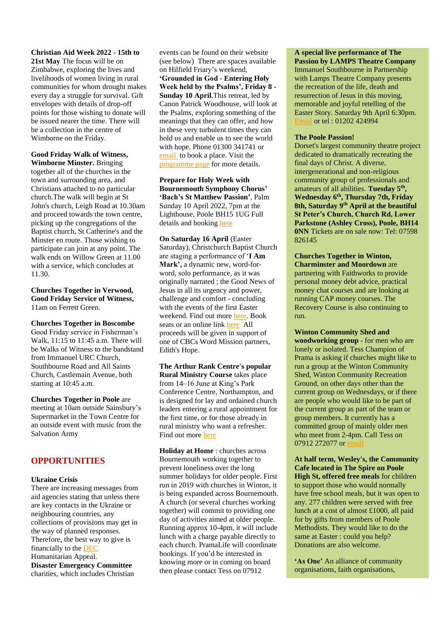**Christian Aid Week 2022 - 15th to 21st May** The focus will be on Zimbabwe, exploring the lives and livelihoods of women living in rural communities for whom drought makes every day a struggle for survival. Gift envelopes with details of drop-off points for those wishing to donate will be issued nearer the time. There will be a collection in the centre of Wimborne on the Friday.

**Good Friday Walk of Witness, Wimborne Minster.** Bringing together all of the churches in the town and surrounding area, and Christians attached to no particular church.The walk will begin at St John's church, Leigh Road at 10.30am and proceed towards the town centre, picking up the congregations of the Baptist church, St Catherine's and the Minster en route. Those wishing to participate can join at any point. The walk ends on Willow Green at 11.00 with a service, which concludes at 11.30.

**Churches Together in Verwood, Good Friday Service of Witness,**  11am on Ferrett Green.

**Churches Together in Boscombe** Good Friday service in Fisherman's Walk, 11:15 to 11:45 a.m. There will be Walks of Witness to the bandstand from Immanuel URC Church, Southbourne Road and All Saints Church, Castlemain Avenue, both starting at 10:45 a.m.

**Churches Together in Poole** are meeting at 10am outside Sainsbury's Supermarket in the Town Centre for an outside event with music from the Salvation Army

# **OPPORTUNITIES**

### **Ukraine Crisis**

There are increasing messages from aid agencies stating that unless there are key contacts in the Ukraine or neighbouring countries, any collections of provisions may get in the way of planned responses. Therefore, the best way to give is financially to the [DEC](https://donation.dec.org.uk/ukraine-humanitarian-appeal) Humanitarian Appeal. **Disaster Emergency Committee** charities, which includes Christian

events can be found on their website (see below) There are spaces available on Hilfield Friary's weekend, **'Grounded in God - Entering Holy Week held by the Psalms', Friday 8 - Sunday 10 April**.This retreat, led by Canon Patrick Woodhouse, will look at the Psalms, exploring something of the meanings that they can offer, and how in these very turbulent times they can hold us and enable us to see the world with hope. Phone 01300 341741 or [email](https://www.hilfieldfriary.org.uk/programme/) to book a place. Visit the [programme page](https://www.hilfieldfriary.org.uk/programme/) for more details.

**Prepare for Holy Week with Bournemouth Symphony Chorus' 'Bach's St Matthew Passion'**, Palm Sunday 10 April 2022, 7pm at the Lighthouse, Poole BH15 1UG Full details and booking [here](https://www.lighthousepoole.co.uk/whats-on/2022/js-bach-st-matthew-passion/)

**On Saturday 16 April** (Easter Saturday), Christchurch Baptist Church are staging a performance of '**I Am Mark',** a dynamic new, word-forword, solo performance, as it was originally narrated ; the Good News of Jesus in all its urgency and power, challenge and comfort - concluding with the events of the first Easter weekend. Find out more [here.](https://iam-mark.com/) Book seats or an online lin[k here](https://l.facebook.com/l.php?u=https%3A%2F%2Fchristchurchbaptist.churchsuite.com%2Fevents%2Fcgb3nqxx%3Ffbclid%3DIwAR2OeTbZgcF1MTImdofioDT06Na7sY-UQiyWm04OVhGxTkRFl1mf-r9_O4k&h=AT2q2O0Wlk4K5_WoDdM-9qlVcAIak81PWwV9ah9JlbIyHavFhCISZ3E-n_-xCRjYpQJIVKyZjE3XGm7nLndWh5bjMJC5XcXcj3uV432lgYpqZva3Xbnnh5blfr8chuylafA1Ioc&__tn__=q&c%5B0%5D=AT0Sh-gOOH-8ohvIa0ZKlHNpW5uRCrrRRpQuxRwV5g_lGM30Z9MrQB5vYK-nqCRa0NMj9AnRqVhtUYXvL8yhzOjVelqsT5xBgYQkYTuIlcjX15Q5Quwb1Y3FEMjXZiQRfW22RxAKiLeG42NNp5VPzD9TMEGXUCBHV5hxF9YwAoZeXOY3) All proceeds will be given in support of one of CBCs Word Mission partners, Edith's Hope.

**The Arthur Rank Centre's popular Rural Ministry Course** takes place from 14–16 June at King's Park Conference Centre, Northampton, and is designed for lay and ordained church leaders entering a rural appointment for the first time, or for those already in rural ministry who want a refresher. Find out more [here](https://urc-news.org.uk/2JB1-1UMDQ-AEA1G7-185IDW-1/c.aspx)

**Holiday at Home** : churches across Bournemouth working together to prevent loneliness over the long summer holidays for older people. First run in 2019 with churches in Winton, it is being expanded across Bournemouth. A church (or several churches working together) will commit to providing one day of activities aimed at older people. Running approx 10-4pm, it will include lunch with a charge payable directly to each church. PramaLife will coordinate bookings. If you'd be interested in knowing more or in coming on board then please contact Tess on 07912

#### **A special live performance of The Passion by LAMPS Theatre Company**

Immanuel Southbourne in Partnership with Lamps Theatre Company presents the recreation of the life, death and resurrection of Jesus in this moving, memorable and joyful retelling of the Easter Story. Saturday 9th April 6:30pm. [Email](http://www.immanuel.org.uk/) or tel : 01202 424994

#### **The Poole Passion!**

Dorset's largest community theatre project dedicated to dramatically recreating the final days of Christ. A diverse, intergenerational and non-religious community group of professionals and amateurs of all abilities. **Tuesday 5th , Wednesday 6th , Thursday 7th, Friday 8th, Saturday 9th April at the beautiful St Peter's Church, Church Rd, Lower Parkstone (Ashley Cross), Poole, BH14 0NN** Tickets are on sale now: Tel: 07598 826145

**Churches Together in Winton, Charminster and Moordown** are partnering with Faithworks to provide personal money debt advice, practical money chat courses and are looking at running CAP money courses. The Recovery Course is also continuing to run.

**Winton Community Shed and woodworking group** - for men who are lonely or isolated. Tess Champion of Prama is asking if churches might like to run a group at the Winton Community Shed, Winton Community Recreation Ground, on other days other than the current group on Wednesdays, or if there are people who would like to be part of the current group as part of the team or group members. It currently has a committed group of mainly older men who meet from 2-4pm. Call Tess on 07912 272077 o[r email](mailto:tess.champion@prama.uk.)

**At half term, Wesley's, the Community Cafe located in The Spire on Poole High St, offered free meals** for children to support those who would normally have free school meals, but it was open to any. 277 children were served with free lunch at a cost of almost £1000, all paid for by gifts from members of Poole Methodists. They would like to do the same at Easter : could you help? Donations are also welcome.

**'As One'** An alliance of community organisations, faith organisations,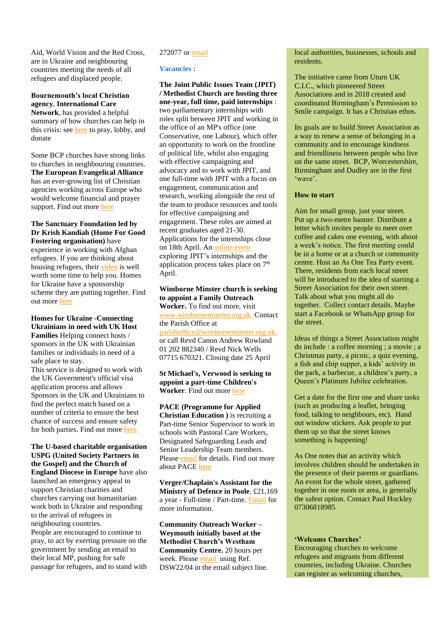Aid, World Vision and the Red Cross, are in Ukraine and neighbouring countries meeting the needs of all refugees and displaced people.

**Bournemouth's local Christian agency**, **International Care Network**, has provided a helpful summary of how churches can help in this crisis: see [here](https://www.icn.org.uk/) to pray, lobby, and donate

Some BCP churches have strong links to churches in neighbouring countries. **The European Evangelical Alliance**  has an ever-growing list of Christian agencies working across Europe who would welcome financial and prayer support. Find out more [here](https://www.europeanea.org/ukraine-crisis-response/)

#### **The Sanctuary Foundation led by Dr Krish Kandiah (Home For Good Fostering organisation)** have

experience in working with Afghan refugees. If you are thinking about housing refugees, thei[r video](https://ctdevon.us17.list-manage.com/track/click?u=02c75d3642ce60f0a39589776&id=a0075cc59b&e=cd728da752) is well worth some time to help you. Homes for Ukraine have a sponsorship scheme they are putting together. Find out more [here](https://ctdevon.us17.list-manage.com/track/click?u=02c75d3642ce60f0a39589776&id=66c06d6d81&e=cd728da752)

# **Homes for Ukraine -Connecting Ukrainians in need with UK Host Families** Helping connect hosts / sponsors in the UK with Ukrainian

families or individuals in need of a safe place to stay. This service is designed to work with

the UK Government's official visa application process and allows Sponsors in the UK and Ukrainians to find the perfect match based on a number of criteria to ensure the best chance of success and ensure safety for both parties. Find out more [here](https://www.gov.uk/register-interest-homes-ukraine)

**The U-based charitable organisation USPG (United Society Partners in the Gospel) and the Church of England Diocese in Europe** have also launched an emergency appeal to support Christian charities and churches carrying out humanitarian work both in Ukraine and responding to the arrival of refugees in neighbouring countries. People are encouraged to continue to pray, to act by exerting pressure on the government by sending an email to their local MP, pushing for safe passage for refugees, and to stand with

# 272077 o[r email](mailto:tess.champion@prama.uk.)

#### **Vacancies :**

**The Joint Public Issues Team (JPIT) / Methodist Church are hosting three one-year, full time, paid internships** : two parliamentary internships with roles split between JPIT and working in the office of an MP's office (one Conservative, one Labour), which offer an opportunity to work on the frontline of political life, whilst also engaging with effective campaigning and advocacy and to work with JPIT, and one full-time with JPIT with a focus on engagement, communication and research, working alongside the rest of the team to produce resources and tools for effective campaigning and engagement. These roles are aimed at recent graduates aged 21-30. Applications for the internships close on 18th April. An [online event](here) exploring JPIT's internships and the application process takes place on  $7<sup>th</sup>$ April.

**Wimborne Minster church is seeking to appoint a Family Outreach Worker.** To find out more, visit

[www.wimborneminster.org.uk](http://www.wimborneminster.org.uk/) Contact the Parish Office at

[parishoffice@wimborneminster.org.uk.](mailto:parishoffice@wimborneminster.org.uk.) or call Revd Canon Andrew Rowland 01 202 882340 / Revd Nick Wells 07715 670321. Closing date 25 April

**St Michael's, Verwood is seeking to appoint a part-time Children's Worker**. Find out more [here](https://www.salisbury.anglican.org/whos-who/job-vacancies/lay/childrens-worker-st-michaels-verwood)

**PACE (Programme for Applied Christian Education )** is recruiting a Part-time Senior Supervisor to work in schools with Pastoral Care Workers, Designated Safeguarding Leads and Senior Leadership Team members. Pleas[e email](mailto:office@pacetrust.org.uk%20and%20an%20application%20form.) for details. Find out more about PACE [here](http://thepacetrust.blogspot.com/)

**Verger/Chaplain's Assistant for the Ministry of Defence in Poole**. £21,169 a year - Full-time / Part-time. [Email](mailto:christopher.shimmen125@mod.gov.uk) for more information.

**Community Outreach Worker – Weymouth initially based at the Methodist Church's Westham Community Centre.** 20 hours per week. Pleas[e email](mailto:Suebird1063@gmail.com) using Ref. DSW22/04 in the email subject line.

local authorities, businesses, schools and residents.

The initiative came from Uturn UK C.I.C., which pioneered Street Associations and in 2018 created and coordinated Birmingham's Permission to Smile campaign. It has a Christian ethos.

Its goals are to build Street Association as a way to renew a sense of belonging in a community and to encourage kindness and friendliness between people who live on the same street. BCP, Worcestershire, Birmingham and Dudley are in the first 'wave'.

#### **How to start**

Aim for small group, just your street. Put up a two-metre banner. Distribute a letter which invites people to meet over coffee and cakes one evening, with about a week's notice. The first meeting could be in a home or at a church or community centre. Host an As One Tea Party event. There, residents from each local street will be introduced to the idea of starting a Street Association for their own street. Talk about what you might all do together. Collect contact details. Maybe start a Facebook or WhatsApp group for the street.

Ideas of things a Street Association might do include : a coffee morning ; a movie ; a Christmas party, a picnic, a quiz evening, a fish and chip supper, a kids' activity in the park, a barbecue, a children's party, a Queen's Platinum Jubilee celebration.

Get a date for the first one and share tasks (such as producing a leaflet, bringing food, talking to neighbours, etc). Hand out window stickers. Ask people to put them up so that the street knows something is happening!

As One notes that an activity which involves children should be undertaken in the presence of their parents or guardians. An event for the whole street, gathered together in one room or area, is generally the safest option. Contact Paul Hockley 07306818985

#### **'Welcome Churches'**

Encouraging churches to welcome refugees and migrants from different countries, including Ukraine. Churches can register as welcoming churches,